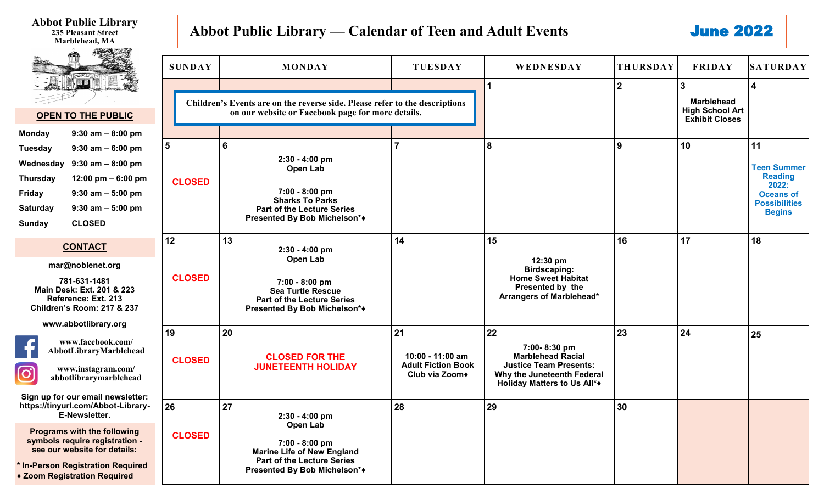| <b>Abbot Public Library</b><br><b>235 Pleasant Street</b><br>Marblehead, MA                                                                                                                                                                                                   |                     | Abbot Public Library — Calendar of Teen and Adult Events                                                                                                     |                                                                       |                                                                                                                                              |                 | <b>June 2022</b>                                                     |                                                                                                                  |
|-------------------------------------------------------------------------------------------------------------------------------------------------------------------------------------------------------------------------------------------------------------------------------|---------------------|--------------------------------------------------------------------------------------------------------------------------------------------------------------|-----------------------------------------------------------------------|----------------------------------------------------------------------------------------------------------------------------------------------|-----------------|----------------------------------------------------------------------|------------------------------------------------------------------------------------------------------------------|
|                                                                                                                                                                                                                                                                               | <b>SUNDAY</b>       | <b>MONDAY</b>                                                                                                                                                | <b>TUESDAY</b>                                                        | WEDNESDAY                                                                                                                                    | <b>THURSDAY</b> | <b>FRIDAY</b>                                                        | <b>SATURDAY</b>                                                                                                  |
| i. <u>Bibl</u><br><b>OPEN TO THE PUBLIC</b>                                                                                                                                                                                                                                   |                     | Children's Events are on the reverse side. Please refer to the descriptions<br>on our website or Facebook page for more details.                             |                                                                       |                                                                                                                                              | $2^{\circ}$     | <b>Marblehead</b><br><b>High School Art</b><br><b>Exhibit Closes</b> | $\boldsymbol{\Delta}$                                                                                            |
| $9:30$ am $-8:00$ pm<br><b>Monday</b><br><b>Tuesday</b><br>$9:30$ am $-6:00$ pm<br>Wednesday<br>$9:30$ am $-8:00$ pm<br><b>Thursday</b><br>12:00 pm $-6:00$ pm<br>$9:30$ am $-5:00$ pm<br>Friday<br>$9:30$ am $-5:00$ pm<br><b>Saturday</b><br><b>CLOSED</b><br><b>Sunday</b> | 5<br><b>CLOSED</b>  | 6<br>2:30 - 4:00 pm<br>Open Lab<br>7:00 - 8:00 pm<br><b>Sharks To Parks</b><br><b>Part of the Lecture Series</b><br>Presented By Bob Michelson*◆             |                                                                       | 8                                                                                                                                            | 9               | 10                                                                   | 11<br><b>Teen Summer</b><br><b>Reading</b><br>2022:<br><b>Oceans of</b><br><b>Possibilities</b><br><b>Begins</b> |
| <b>CONTACT</b><br>mar@noblenet.org<br>781-631-1481<br>Main Desk: Ext. 201 & 223<br>Reference: Ext. 213<br><b>Children's Room: 217 &amp; 237</b>                                                                                                                               | 12<br><b>CLOSED</b> | 13<br>2:30 - 4:00 pm<br>Open Lab<br>7:00 - 8:00 pm<br><b>Sea Turtle Rescue</b><br><b>Part of the Lecture Series</b><br>Presented By Bob Michelson*◆          | 14                                                                    | 15<br>$12:30 \text{ pm}$<br><b>Birdscaping:</b><br><b>Home Sweet Habitat</b><br>Presented by the<br>Arrangers of Marblehead*                 | 16              | 17                                                                   | 18                                                                                                               |
| www.abbotlibrary.org<br>www.facebook.com/<br>AbbotLibraryMarblehead<br>www.instagram.com/<br>$\mathbf{C}$<br>abbotlibrarymarblehead<br>Sign up for our email newsletter:                                                                                                      | 19<br><b>CLOSED</b> | 20<br><b>CLOSED FOR THE</b><br><b>JUNETEENTH HOLIDAY</b>                                                                                                     | 21<br>10:00 - 11:00 am<br><b>Adult Fiction Book</b><br>Club via Zoom◆ | 22<br>7:00-8:30 pm<br><b>Marblehead Racial</b><br><b>Justice Team Presents:</b><br>Why the Juneteenth Federal<br>Holiday Matters to Us All*+ | 23              | 24                                                                   | 25                                                                                                               |
| https://tinyurl.com/Abbot-Library-<br>E-Newsletter.<br><b>Programs with the following</b><br>symbols require registration -<br>see our website for details:<br>* In-Person Registration Required<br>◆ Zoom Registration Required                                              | 26<br><b>CLOSED</b> | 27<br>2:30 - 4:00 pm<br>Open Lab<br>7:00 - 8:00 pm<br><b>Marine Life of New England</b><br><b>Part of the Lecture Series</b><br>Presented By Bob Michelson*◆ | 28                                                                    | 29                                                                                                                                           | 30              |                                                                      |                                                                                                                  |